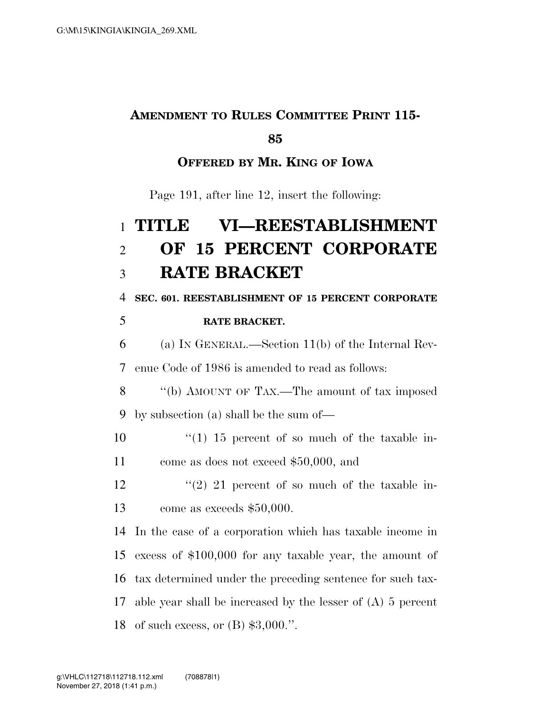## **AMENDMENT TO RULES COMMITTEE PRINT 115-**

### 

### **OFFERED BY MR. KING OF IOWA**

Page 191, after line 12, insert the following:

# **TITLE VI—REESTABLISHMENT OF 15 PERCENT CORPORATE RATE BRACKET**

**SEC. 601. REESTABLISHMENT OF 15 PERCENT CORPORATE** 

#### **RATE BRACKET.**

 (a) IN GENERAL.—Section 11(b) of the Internal Rev-enue Code of 1986 is amended to read as follows:

 ''(b) AMOUNT OF TAX.—The amount of tax imposed by subsection (a) shall be the sum of—

10  $\frac{10}{15}$  percent of so much of the taxable in-come as does not exceed \$50,000, and

12  $(2)$  21 percent of so much of the taxable in-come as exceeds \$50,000.

 In the case of a corporation which has taxable income in excess of \$100,000 for any taxable year, the amount of tax determined under the preceding sentence for such tax- able year shall be increased by the lesser of (A) 5 percent of such excess, or (B) \$3,000.''.